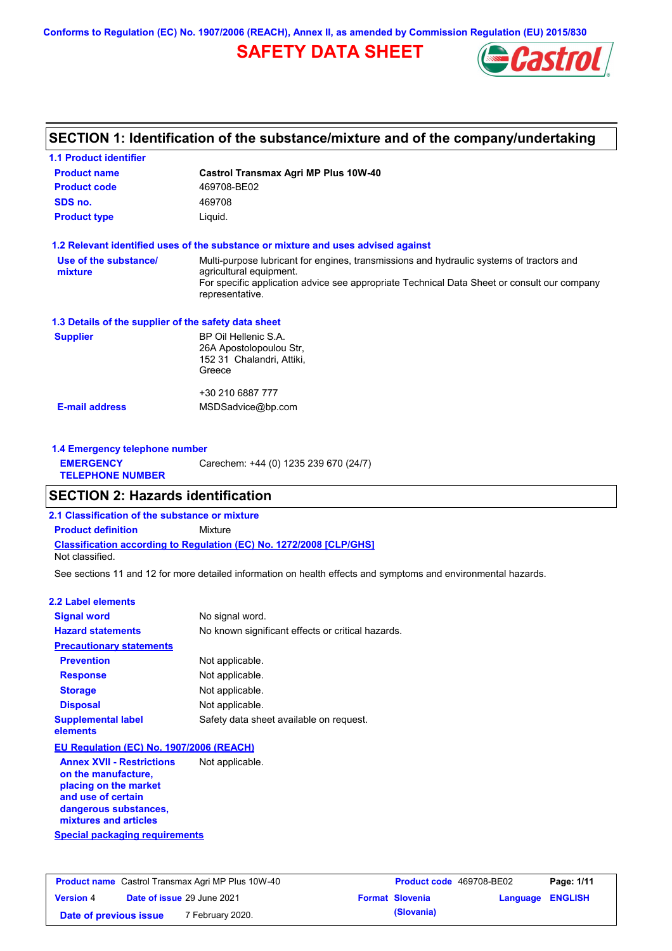**Conforms to Regulation (EC) No. 1907/2006 (REACH), Annex II, as amended by Commission Regulation (EU) 2015/830**

# **SAFETY DATA SHEET**



# **SECTION 1: Identification of the substance/mixture and of the company/undertaking**

| <b>1.1 Product identifier</b>                        |                                                                                                                     |  |
|------------------------------------------------------|---------------------------------------------------------------------------------------------------------------------|--|
| <b>Product name</b>                                  | <b>Castrol Transmax Agri MP Plus 10W-40</b>                                                                         |  |
| <b>Product code</b>                                  | 469708-BE02                                                                                                         |  |
| SDS no.                                              | 469708                                                                                                              |  |
| <b>Product type</b>                                  | Liquid.                                                                                                             |  |
|                                                      | 1.2 Relevant identified uses of the substance or mixture and uses advised against                                   |  |
| Use of the substance/<br>mixture                     | Multi-purpose lubricant for engines, transmissions and hydraulic systems of tractors and<br>agricultural equipment. |  |
|                                                      | For specific application advice see appropriate Technical Data Sheet or consult our company<br>representative.      |  |
| 1.3 Details of the supplier of the safety data sheet |                                                                                                                     |  |
| <b>Supplier</b>                                      | BP Oil Hellenic S.A.<br>26A Apostolopoulou Str,<br>152 31 Chalandri, Attiki,<br>Greece                              |  |
|                                                      | +30 210 6887 777                                                                                                    |  |
| <b>E-mail address</b>                                | MSDSadvice@bp.com                                                                                                   |  |
| 1.4 Emergency telephone number                       |                                                                                                                     |  |
| <b>EMERGENCY</b><br><b>TELEPHONE NUMBER</b>          | Carechem: +44 (0) 1235 239 670 (24/7)                                                                               |  |

### **SECTION 2: Hazards identification**

**2.1 Classification of the substance or mixture**

**Classification according to Regulation (EC) No. 1272/2008 [CLP/GHS] Product definition** Mixture

Not classified.

See sections 11 and 12 for more detailed information on health effects and symptoms and environmental hazards.

#### **2.2 Label elements**

| <b>Signal word</b>                                      | No signal word.                                   |
|---------------------------------------------------------|---------------------------------------------------|
| <b>Hazard statements</b>                                | No known significant effects or critical hazards. |
| <b>Precautionary statements</b>                         |                                                   |
| <b>Prevention</b>                                       | Not applicable.                                   |
| <b>Response</b>                                         | Not applicable.                                   |
| <b>Storage</b>                                          | Not applicable.                                   |
| <b>Disposal</b>                                         | Not applicable.                                   |
| <b>Supplemental label</b><br>elements                   | Safety data sheet available on request.           |
| EU Regulation (EC) No. 1907/2006 (REACH)                |                                                   |
| <b>Annex XVII - Restrictions</b><br>on the manufacture, | Not applicable.                                   |

**Special packaging requirements placing on the market and use of certain dangerous substances, mixtures and articles**

| <b>Product name</b> Castrol Transmax Agri MP Plus 10W-40 |  | <b>Product code</b> 469708-BE02   |  | Page: 1/11             |                         |  |
|----------------------------------------------------------|--|-----------------------------------|--|------------------------|-------------------------|--|
| <b>Version 4</b>                                         |  | <b>Date of issue 29 June 2021</b> |  | <b>Format Slovenia</b> | <b>Language ENGLISH</b> |  |
| Date of previous issue                                   |  | 7 February 2020.                  |  | (Slovania)             |                         |  |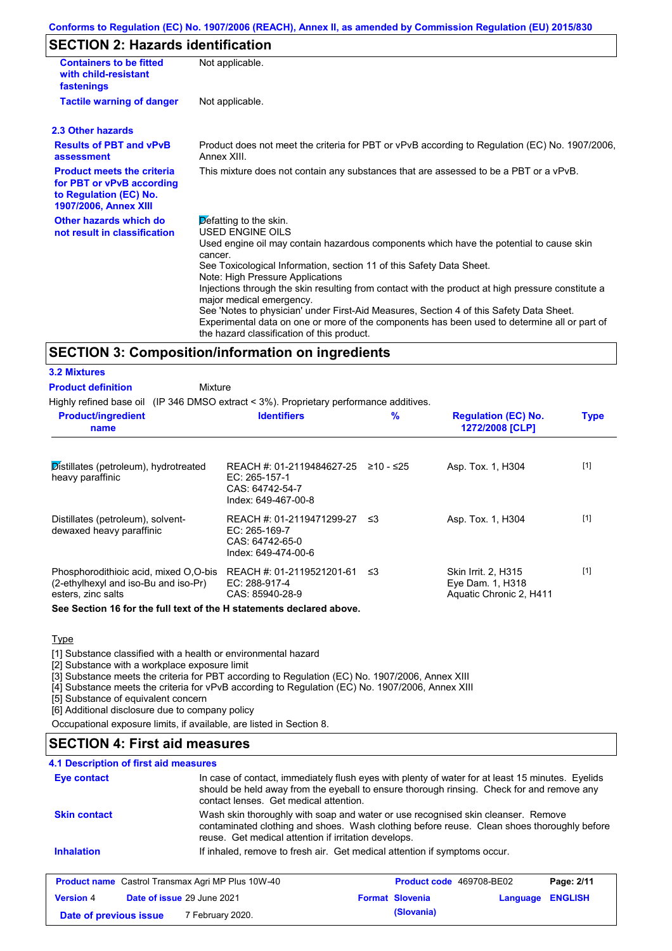# **SECTION 2: Hazards identification**

| <b>Containers to be fitted</b><br>with child-resistant<br>fastenings                                                     | Not applicable.                                                                                                                                                                                                                                                                                                                                                                                            |
|--------------------------------------------------------------------------------------------------------------------------|------------------------------------------------------------------------------------------------------------------------------------------------------------------------------------------------------------------------------------------------------------------------------------------------------------------------------------------------------------------------------------------------------------|
| <b>Tactile warning of danger</b>                                                                                         | Not applicable.                                                                                                                                                                                                                                                                                                                                                                                            |
| 2.3 Other hazards                                                                                                        |                                                                                                                                                                                                                                                                                                                                                                                                            |
| <b>Results of PBT and vPvB</b><br>assessment                                                                             | Product does not meet the criteria for PBT or vPvB according to Regulation (EC) No. 1907/2006,<br>Annex XIII.                                                                                                                                                                                                                                                                                              |
| <b>Product meets the criteria</b><br>for PBT or vPvB according<br>to Regulation (EC) No.<br><b>1907/2006, Annex XIII</b> | This mixture does not contain any substances that are assessed to be a PBT or a vPvB.                                                                                                                                                                                                                                                                                                                      |
| Other hazards which do<br>not result in classification                                                                   | Defatting to the skin.<br><b>USED ENGINE OILS</b><br>Used engine oil may contain hazardous components which have the potential to cause skin<br>cancer.<br>See Toxicological Information, section 11 of this Safety Data Sheet.                                                                                                                                                                            |
|                                                                                                                          | Note: High Pressure Applications<br>Injections through the skin resulting from contact with the product at high pressure constitute a<br>major medical emergency.<br>See 'Notes to physician' under First-Aid Measures, Section 4 of this Safety Data Sheet.<br>Experimental data on one or more of the components has been used to determine all or part of<br>the hazard classification of this product. |

### **SECTION 3: Composition/information on ingredients**

# **3.2 Mixtures**

**Product definition**

Mixture

Highly refined base oil (IP 346 DMSO extract < 3%). Proprietary performance additives.

| <b>Product/ingredient</b><br>name                                                                   | <b>Identifiers</b>                                                                     | $\%$      | <b>Regulation (EC) No.</b><br>1272/2008 [CLP]                      | <b>Type</b> |
|-----------------------------------------------------------------------------------------------------|----------------------------------------------------------------------------------------|-----------|--------------------------------------------------------------------|-------------|
| Distillates (petroleum), hydrotreated<br>heavy paraffinic                                           | REACH #: 01-2119484627-25<br>EC: 265-157-1<br>CAS: 64742-54-7<br>Index: 649-467-00-8   | ≥10 - ≤25 | Asp. Tox. 1, H304                                                  | $[1]$       |
| Distillates (petroleum), solvent-<br>dewaxed heavy paraffinic                                       | REACH #: 01-2119471299-27<br>$EC: 265-169-7$<br>CAS: 64742-65-0<br>Index: 649-474-00-6 | -≤3       | Asp. Tox. 1, H304                                                  | $[1]$       |
| Phosphorodithioic acid, mixed O,O-bis<br>(2-ethylhexyl and iso-Bu and iso-Pr)<br>esters, zinc salts | REACH #: 01-2119521201-61<br>EC: 288-917-4<br>CAS: 85940-28-9                          | ב≥        | Skin Irrit. 2. H315<br>Eye Dam. 1, H318<br>Aquatic Chronic 2, H411 | $[1]$       |

**See Section 16 for the full text of the H statements declared above.**

### **Type**

[1] Substance classified with a health or environmental hazard

[2] Substance with a workplace exposure limit

[3] Substance meets the criteria for PBT according to Regulation (EC) No. 1907/2006, Annex XIII

[4] Substance meets the criteria for vPvB according to Regulation (EC) No. 1907/2006, Annex XIII

[5] Substance of equivalent concern

[6] Additional disclosure due to company policy

Occupational exposure limits, if available, are listed in Section 8.

## **SECTION 4: First aid measures**

### **4.1 Description of first aid measures**

| Eye contact                                              | In case of contact, immediately flush eyes with plenty of water for at least 15 minutes. Eyelids<br>should be held away from the eyeball to ensure thorough rinsing. Check for and remove any<br>contact lenses. Get medical attention. |                                 |          |                |
|----------------------------------------------------------|-----------------------------------------------------------------------------------------------------------------------------------------------------------------------------------------------------------------------------------------|---------------------------------|----------|----------------|
| <b>Skin contact</b>                                      | Wash skin thoroughly with soap and water or use recognised skin cleanser. Remove<br>contaminated clothing and shoes. Wash clothing before reuse. Clean shoes thoroughly before<br>reuse. Get medical attention if irritation develops.  |                                 |          |                |
| <b>Inhalation</b>                                        | If inhaled, remove to fresh air. Get medical attention if symptoms occur.                                                                                                                                                               |                                 |          |                |
| <b>Product name</b> Castrol Transmax Agri MP Plus 10W-40 |                                                                                                                                                                                                                                         | <b>Product code</b> 469708-BE02 |          | Page: 2/11     |
| <b>Version 4</b><br>Date of issue 29 June 2021           |                                                                                                                                                                                                                                         | <b>Format Slovenia</b>          | Language | <b>ENGLISH</b> |
| Date of previous issue                                   | 7 February 2020.                                                                                                                                                                                                                        | (Slovania)                      |          |                |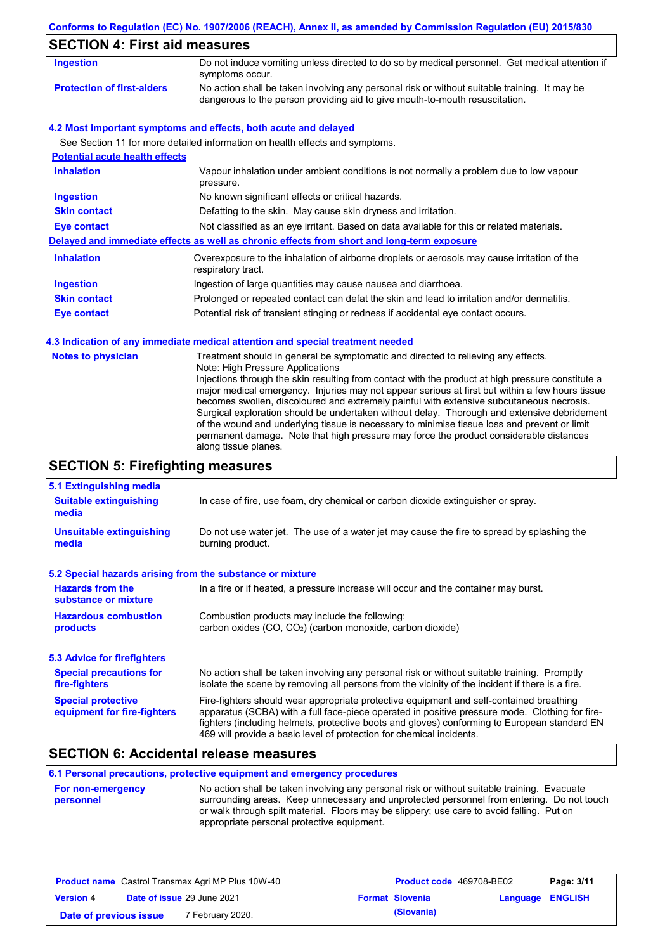|                                          | Conforms to Regulation (EC) No. 1907/2006 (REACH), Annex II, as amended by Commission Regulation (EU) 2015/830                                                                                                                                                                                                                                                                                                                                                                                                                                                                                                    |  |  |  |  |
|------------------------------------------|-------------------------------------------------------------------------------------------------------------------------------------------------------------------------------------------------------------------------------------------------------------------------------------------------------------------------------------------------------------------------------------------------------------------------------------------------------------------------------------------------------------------------------------------------------------------------------------------------------------------|--|--|--|--|
|                                          | <b>SECTION 4: First aid measures</b>                                                                                                                                                                                                                                                                                                                                                                                                                                                                                                                                                                              |  |  |  |  |
| <b>Ingestion</b>                         | Do not induce vomiting unless directed to do so by medical personnel. Get medical attention if<br>symptoms occur.                                                                                                                                                                                                                                                                                                                                                                                                                                                                                                 |  |  |  |  |
| <b>Protection of first-aiders</b>        | No action shall be taken involving any personal risk or without suitable training. It may be<br>dangerous to the person providing aid to give mouth-to-mouth resuscitation.                                                                                                                                                                                                                                                                                                                                                                                                                                       |  |  |  |  |
|                                          | 4.2 Most important symptoms and effects, both acute and delayed                                                                                                                                                                                                                                                                                                                                                                                                                                                                                                                                                   |  |  |  |  |
|                                          | See Section 11 for more detailed information on health effects and symptoms.                                                                                                                                                                                                                                                                                                                                                                                                                                                                                                                                      |  |  |  |  |
| <b>Potential acute health effects</b>    |                                                                                                                                                                                                                                                                                                                                                                                                                                                                                                                                                                                                                   |  |  |  |  |
| <b>Inhalation</b>                        | Vapour inhalation under ambient conditions is not normally a problem due to low vapour<br>pressure.                                                                                                                                                                                                                                                                                                                                                                                                                                                                                                               |  |  |  |  |
| <b>Ingestion</b>                         | No known significant effects or critical hazards.                                                                                                                                                                                                                                                                                                                                                                                                                                                                                                                                                                 |  |  |  |  |
| <b>Skin contact</b>                      | Defatting to the skin. May cause skin dryness and irritation.                                                                                                                                                                                                                                                                                                                                                                                                                                                                                                                                                     |  |  |  |  |
| <b>Eye contact</b>                       | Not classified as an eye irritant. Based on data available for this or related materials.                                                                                                                                                                                                                                                                                                                                                                                                                                                                                                                         |  |  |  |  |
|                                          | Delayed and immediate effects as well as chronic effects from short and long-term exposure                                                                                                                                                                                                                                                                                                                                                                                                                                                                                                                        |  |  |  |  |
| <b>Inhalation</b>                        | Overexposure to the inhalation of airborne droplets or aerosols may cause irritation of the<br>respiratory tract.                                                                                                                                                                                                                                                                                                                                                                                                                                                                                                 |  |  |  |  |
| <b>Ingestion</b>                         | Ingestion of large quantities may cause nausea and diarrhoea.                                                                                                                                                                                                                                                                                                                                                                                                                                                                                                                                                     |  |  |  |  |
| <b>Skin contact</b>                      | Prolonged or repeated contact can defat the skin and lead to irritation and/or dermatitis.                                                                                                                                                                                                                                                                                                                                                                                                                                                                                                                        |  |  |  |  |
| <b>Eye contact</b>                       | Potential risk of transient stinging or redness if accidental eye contact occurs.                                                                                                                                                                                                                                                                                                                                                                                                                                                                                                                                 |  |  |  |  |
|                                          | 4.3 Indication of any immediate medical attention and special treatment needed                                                                                                                                                                                                                                                                                                                                                                                                                                                                                                                                    |  |  |  |  |
| <b>Notes to physician</b>                | Treatment should in general be symptomatic and directed to relieving any effects.<br>Note: High Pressure Applications                                                                                                                                                                                                                                                                                                                                                                                                                                                                                             |  |  |  |  |
|                                          | Injections through the skin resulting from contact with the product at high pressure constitute a<br>major medical emergency. Injuries may not appear serious at first but within a few hours tissue<br>becomes swollen, discoloured and extremely painful with extensive subcutaneous necrosis.<br>Surgical exploration should be undertaken without delay. Thorough and extensive debridement<br>of the wound and underlying tissue is necessary to minimise tissue loss and prevent or limit<br>permanent damage. Note that high pressure may force the product considerable distances<br>along tissue planes. |  |  |  |  |
| <b>SECTION 5: Firefighting measures</b>  |                                                                                                                                                                                                                                                                                                                                                                                                                                                                                                                                                                                                                   |  |  |  |  |
| 5.1 Extinguishing media                  |                                                                                                                                                                                                                                                                                                                                                                                                                                                                                                                                                                                                                   |  |  |  |  |
| <b>Suitable extinguishing</b><br>media   | In case of fire, use foam, dry chemical or carbon dioxide extinguisher or spray.                                                                                                                                                                                                                                                                                                                                                                                                                                                                                                                                  |  |  |  |  |
| <b>Unsuitable extinguishing</b><br>media | Do not use water jet. The use of a water jet may cause the fire to spread by splashing the<br>burning product.                                                                                                                                                                                                                                                                                                                                                                                                                                                                                                    |  |  |  |  |

| 5.2 Special hazards arising from the substance or mixture |  |
|-----------------------------------------------------------|--|
|-----------------------------------------------------------|--|

| <b>Hazards from the</b><br>substance or mixture | In a fire or if heated, a pressure increase will occur and the container may burst.             |  |  |  |  |
|-------------------------------------------------|-------------------------------------------------------------------------------------------------|--|--|--|--|
| <b>Hazardous combustion</b>                     | Combustion products may include the following:                                                  |  |  |  |  |
| products                                        | carbon oxides (CO, CO <sub>2</sub> ) (carbon monoxide, carbon dioxide)                          |  |  |  |  |
| <b>5.3 Advice for firefighters</b>              |                                                                                                 |  |  |  |  |
| <b>Special precautions for</b>                  | No action shall be taken involving any personal risk or without suitable training. Promptly     |  |  |  |  |
| fire-fighters                                   | isolate the scene by removing all persons from the vicinity of the incident if there is a fire. |  |  |  |  |
| <b>Special protective</b>                       | Fire-fighters should wear appropriate protective equipment and self-contained breathing         |  |  |  |  |
| equipment for fire-fighters                     | apparatus (SCBA) with a full face-piece operated in positive pressure mode. Clothing for fire-  |  |  |  |  |

## fighters (including helmets, protective boots and gloves) conforming to European standard EN 469 will provide a basic level of protection for chemical incidents.

# **SECTION 6: Accidental release measures**

**6.1 Personal precautions, protective equipment and emergency procedures**

| <b>For non-emergency</b> | No action shall be taken involving any personal risk or without suitable training. Evacuate |
|--------------------------|---------------------------------------------------------------------------------------------|
| personnel                | surrounding areas. Keep unnecessary and unprotected personnel from entering. Do not touch   |
|                          | or walk through spilt material. Floors may be slippery; use care to avoid falling. Put on   |
|                          | appropriate personal protective equipment.                                                  |

| <b>Product name</b> Castrol Transmax Agri MP Plus 10W-40 |  | <b>Product code</b> 469708-BE02   |  | Page: 3/11             |                         |  |
|----------------------------------------------------------|--|-----------------------------------|--|------------------------|-------------------------|--|
| <b>Version 4</b>                                         |  | <b>Date of issue 29 June 2021</b> |  | <b>Format Slovenia</b> | <b>Language ENGLISH</b> |  |
| Date of previous issue                                   |  | <sup>7</sup> February 2020.       |  | (Slovania)             |                         |  |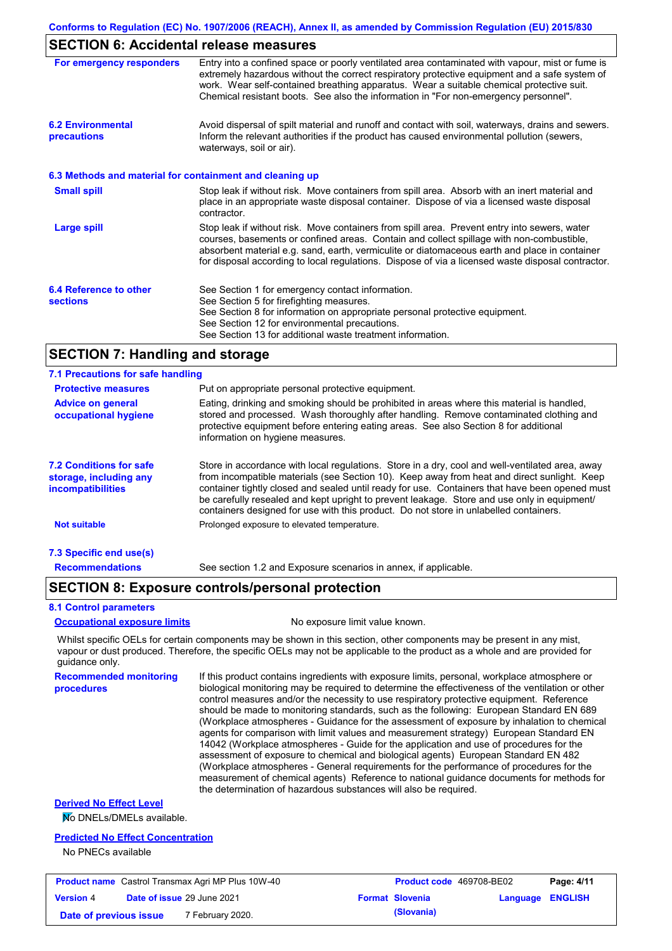## **SECTION 6: Accidental release measures**

| For emergency responders                  | Entry into a confined space or poorly ventilated area contaminated with vapour, mist or fume is<br>extremely hazardous without the correct respiratory protective equipment and a safe system of<br>work. Wear self-contained breathing apparatus. Wear a suitable chemical protective suit.<br>Chemical resistant boots. See also the information in "For non-emergency personnel".           |
|-------------------------------------------|------------------------------------------------------------------------------------------------------------------------------------------------------------------------------------------------------------------------------------------------------------------------------------------------------------------------------------------------------------------------------------------------|
| <b>6.2 Environmental</b><br>precautions   | Avoid dispersal of spilt material and runoff and contact with soil, waterways, drains and sewers.<br>Inform the relevant authorities if the product has caused environmental pollution (sewers,<br>waterways, soil or air).                                                                                                                                                                    |
|                                           | 6.3 Methods and material for containment and cleaning up                                                                                                                                                                                                                                                                                                                                       |
| <b>Small spill</b>                        | Stop leak if without risk. Move containers from spill area. Absorb with an inert material and<br>place in an appropriate waste disposal container. Dispose of via a licensed waste disposal<br>contractor.                                                                                                                                                                                     |
| Large spill                               | Stop leak if without risk. Move containers from spill area. Prevent entry into sewers, water<br>courses, basements or confined areas. Contain and collect spillage with non-combustible,<br>absorbent material e.g. sand, earth, vermiculite or diatomaceous earth and place in container<br>for disposal according to local regulations. Dispose of via a licensed waste disposal contractor. |
| 6.4 Reference to other<br><b>sections</b> | See Section 1 for emergency contact information.<br>See Section 5 for firefighting measures.<br>See Section 8 for information on appropriate personal protective equipment.<br>See Section 12 for environmental precautions.<br>See Section 13 for additional waste treatment information.                                                                                                     |

## **SECTION 7: Handling and storage**

| 7.1 Precautions for safe handling                                      |                                                                                                                                                                                                                                                                                                                                                                                                                                                                                          |
|------------------------------------------------------------------------|------------------------------------------------------------------------------------------------------------------------------------------------------------------------------------------------------------------------------------------------------------------------------------------------------------------------------------------------------------------------------------------------------------------------------------------------------------------------------------------|
| <b>Protective measures</b>                                             | Put on appropriate personal protective equipment.                                                                                                                                                                                                                                                                                                                                                                                                                                        |
| <b>Advice on general</b><br>occupational hygiene                       | Eating, drinking and smoking should be prohibited in areas where this material is handled,<br>stored and processed. Wash thoroughly after handling. Remove contaminated clothing and<br>protective equipment before entering eating areas. See also Section 8 for additional<br>information on hygiene measures.                                                                                                                                                                         |
| 7.2 Conditions for safe<br>storage, including any<br>incompatibilities | Store in accordance with local requiations. Store in a dry, cool and well-ventilated area, away<br>from incompatible materials (see Section 10). Keep away from heat and direct sunlight. Keep<br>container tightly closed and sealed until ready for use. Containers that have been opened must<br>be carefully resealed and kept upright to prevent leakage. Store and use only in equipment/<br>containers designed for use with this product. Do not store in unlabelled containers. |
| <b>Not suitable</b>                                                    | Prolonged exposure to elevated temperature.                                                                                                                                                                                                                                                                                                                                                                                                                                              |
| 7.3 Specific end use(s)                                                |                                                                                                                                                                                                                                                                                                                                                                                                                                                                                          |
| <b>Recommendations</b>                                                 | See section 1.2 and Exposure scenarios in annex, if applicable.                                                                                                                                                                                                                                                                                                                                                                                                                          |

### **SECTION 8: Exposure controls/personal protection**

#### **8.1 Control parameters**

#### **Occupational exposure limits** No exposure limit value known.

Whilst specific OELs for certain components may be shown in this section, other components may be present in any mist, vapour or dust produced. Therefore, the specific OELs may not be applicable to the product as a whole and are provided for guidance only.

**Recommended monitoring procedures** If this product contains ingredients with exposure limits, personal, workplace atmosphere or biological monitoring may be required to determine the effectiveness of the ventilation or other control measures and/or the necessity to use respiratory protective equipment. Reference should be made to monitoring standards, such as the following: European Standard EN 689 (Workplace atmospheres - Guidance for the assessment of exposure by inhalation to chemical agents for comparison with limit values and measurement strategy) European Standard EN 14042 (Workplace atmospheres - Guide for the application and use of procedures for the assessment of exposure to chemical and biological agents) European Standard EN 482 (Workplace atmospheres - General requirements for the performance of procedures for the measurement of chemical agents) Reference to national guidance documents for methods for the determination of hazardous substances will also be required.

### **Derived No Effect Level**

No DNELs/DMELs available.

#### **Predicted No Effect Concentration**

No PNECs available

| <b>Product name</b> Castrol Transmax Agri MP Plus 10W-40 |  | <b>Product code</b> 469708-BE02   |  | Page: 4/11             |                         |  |
|----------------------------------------------------------|--|-----------------------------------|--|------------------------|-------------------------|--|
| <b>Version 4</b>                                         |  | <b>Date of issue 29 June 2021</b> |  | <b>Format Slovenia</b> | <b>Language ENGLISH</b> |  |
| Date of previous issue                                   |  | 7 February 2020.                  |  | (Slovania)             |                         |  |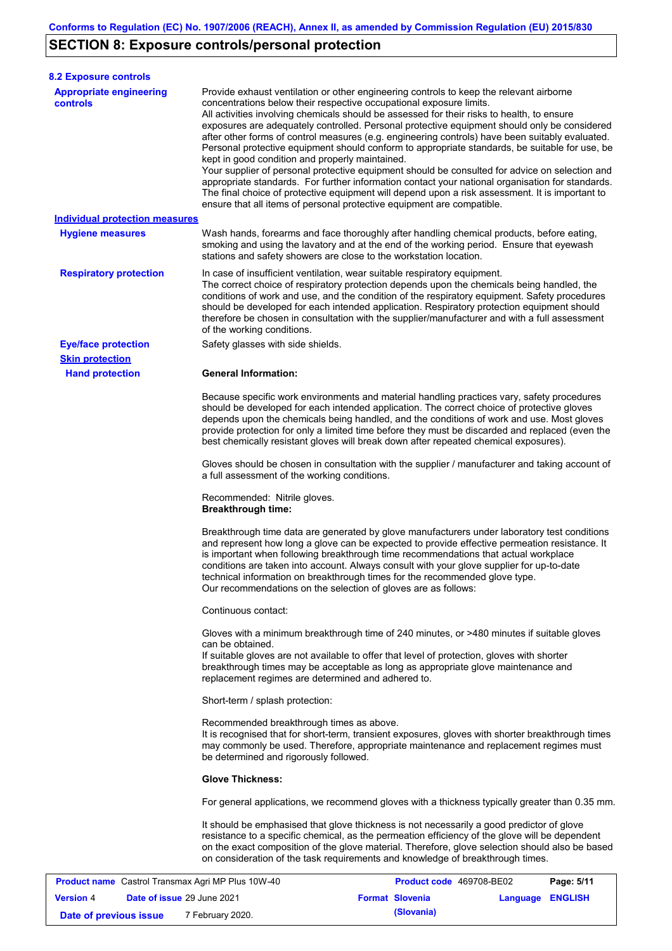# **SECTION 8: Exposure controls/personal protection**

**Version** 4

| <b>8.2 Exposure controls</b>                      |                                                                                                                        |                                                                                                                                                                                                                                                                                                                                                                                                                                                                                                                                                                                                                                                                                                                                                                                                                                                                               |            |
|---------------------------------------------------|------------------------------------------------------------------------------------------------------------------------|-------------------------------------------------------------------------------------------------------------------------------------------------------------------------------------------------------------------------------------------------------------------------------------------------------------------------------------------------------------------------------------------------------------------------------------------------------------------------------------------------------------------------------------------------------------------------------------------------------------------------------------------------------------------------------------------------------------------------------------------------------------------------------------------------------------------------------------------------------------------------------|------------|
| <b>Appropriate engineering</b><br><b>controls</b> | concentrations below their respective occupational exposure limits.<br>kept in good condition and properly maintained. | Provide exhaust ventilation or other engineering controls to keep the relevant airborne<br>All activities involving chemicals should be assessed for their risks to health, to ensure<br>exposures are adequately controlled. Personal protective equipment should only be considered<br>after other forms of control measures (e.g. engineering controls) have been suitably evaluated.<br>Personal protective equipment should conform to appropriate standards, be suitable for use, be<br>Your supplier of personal protective equipment should be consulted for advice on selection and<br>appropriate standards. For further information contact your national organisation for standards.<br>The final choice of protective equipment will depend upon a risk assessment. It is important to<br>ensure that all items of personal protective equipment are compatible. |            |
| <b>Individual protection measures</b>             |                                                                                                                        |                                                                                                                                                                                                                                                                                                                                                                                                                                                                                                                                                                                                                                                                                                                                                                                                                                                                               |            |
| <b>Hygiene measures</b>                           | stations and safety showers are close to the workstation location.                                                     | Wash hands, forearms and face thoroughly after handling chemical products, before eating,<br>smoking and using the lavatory and at the end of the working period. Ensure that eyewash                                                                                                                                                                                                                                                                                                                                                                                                                                                                                                                                                                                                                                                                                         |            |
| <b>Respiratory protection</b>                     | of the working conditions.                                                                                             | In case of insufficient ventilation, wear suitable respiratory equipment.<br>The correct choice of respiratory protection depends upon the chemicals being handled, the<br>conditions of work and use, and the condition of the respiratory equipment. Safety procedures<br>should be developed for each intended application. Respiratory protection equipment should<br>therefore be chosen in consultation with the supplier/manufacturer and with a full assessment                                                                                                                                                                                                                                                                                                                                                                                                       |            |
| <b>Eye/face protection</b>                        | Safety glasses with side shields.                                                                                      |                                                                                                                                                                                                                                                                                                                                                                                                                                                                                                                                                                                                                                                                                                                                                                                                                                                                               |            |
| <b>Skin protection</b>                            |                                                                                                                        |                                                                                                                                                                                                                                                                                                                                                                                                                                                                                                                                                                                                                                                                                                                                                                                                                                                                               |            |
| <b>Hand protection</b>                            | <b>General Information:</b>                                                                                            |                                                                                                                                                                                                                                                                                                                                                                                                                                                                                                                                                                                                                                                                                                                                                                                                                                                                               |            |
|                                                   |                                                                                                                        | Because specific work environments and material handling practices vary, safety procedures<br>should be developed for each intended application. The correct choice of protective gloves<br>depends upon the chemicals being handled, and the conditions of work and use. Most gloves<br>provide protection for only a limited time before they must be discarded and replaced (even the<br>best chemically resistant gloves will break down after repeated chemical exposures).                                                                                                                                                                                                                                                                                                                                                                                              |            |
|                                                   | a full assessment of the working conditions.                                                                           | Gloves should be chosen in consultation with the supplier / manufacturer and taking account of                                                                                                                                                                                                                                                                                                                                                                                                                                                                                                                                                                                                                                                                                                                                                                                |            |
|                                                   | Recommended: Nitrile gloves.<br><b>Breakthrough time:</b>                                                              |                                                                                                                                                                                                                                                                                                                                                                                                                                                                                                                                                                                                                                                                                                                                                                                                                                                                               |            |
|                                                   | Our recommendations on the selection of gloves are as follows:                                                         | Breakthrough time data are generated by glove manufacturers under laboratory test conditions<br>and represent how long a glove can be expected to provide effective permeation resistance. It<br>is important when following breakthrough time recommendations that actual workplace<br>conditions are taken into account. Always consult with your glove supplier for up-to-date<br>technical information on breakthrough times for the recommended glove type.                                                                                                                                                                                                                                                                                                                                                                                                              |            |
|                                                   | Continuous contact:                                                                                                    |                                                                                                                                                                                                                                                                                                                                                                                                                                                                                                                                                                                                                                                                                                                                                                                                                                                                               |            |
|                                                   | can be obtained.<br>replacement regimes are determined and adhered to.                                                 | Gloves with a minimum breakthrough time of 240 minutes, or >480 minutes if suitable gloves<br>If suitable gloves are not available to offer that level of protection, gloves with shorter<br>breakthrough times may be acceptable as long as appropriate glove maintenance and                                                                                                                                                                                                                                                                                                                                                                                                                                                                                                                                                                                                |            |
|                                                   | Short-term / splash protection:                                                                                        |                                                                                                                                                                                                                                                                                                                                                                                                                                                                                                                                                                                                                                                                                                                                                                                                                                                                               |            |
|                                                   | Recommended breakthrough times as above.<br>be determined and rigorously followed.                                     | It is recognised that for short-term, transient exposures, gloves with shorter breakthrough times<br>may commonly be used. Therefore, appropriate maintenance and replacement regimes must                                                                                                                                                                                                                                                                                                                                                                                                                                                                                                                                                                                                                                                                                    |            |
|                                                   | <b>Glove Thickness:</b>                                                                                                |                                                                                                                                                                                                                                                                                                                                                                                                                                                                                                                                                                                                                                                                                                                                                                                                                                                                               |            |
|                                                   |                                                                                                                        | For general applications, we recommend gloves with a thickness typically greater than 0.35 mm.                                                                                                                                                                                                                                                                                                                                                                                                                                                                                                                                                                                                                                                                                                                                                                                |            |
|                                                   |                                                                                                                        | It should be emphasised that glove thickness is not necessarily a good predictor of glove<br>resistance to a specific chemical, as the permeation efficiency of the glove will be dependent<br>on the exact composition of the glove material. Therefore, glove selection should also be based<br>on consideration of the task requirements and knowledge of breakthrough times.                                                                                                                                                                                                                                                                                                                                                                                                                                                                                              |            |
| Product name Castrol Transmax Agri MP Plus 10W-40 |                                                                                                                        | Product code 469708-BE02                                                                                                                                                                                                                                                                                                                                                                                                                                                                                                                                                                                                                                                                                                                                                                                                                                                      | Page: 5/11 |
|                                                   |                                                                                                                        |                                                                                                                                                                                                                                                                                                                                                                                                                                                                                                                                                                                                                                                                                                                                                                                                                                                                               |            |

**Date of issue** 29 June 2021 **Format Slovenia Language ENGLISH**

**Date of previous issue** 7 February 2020.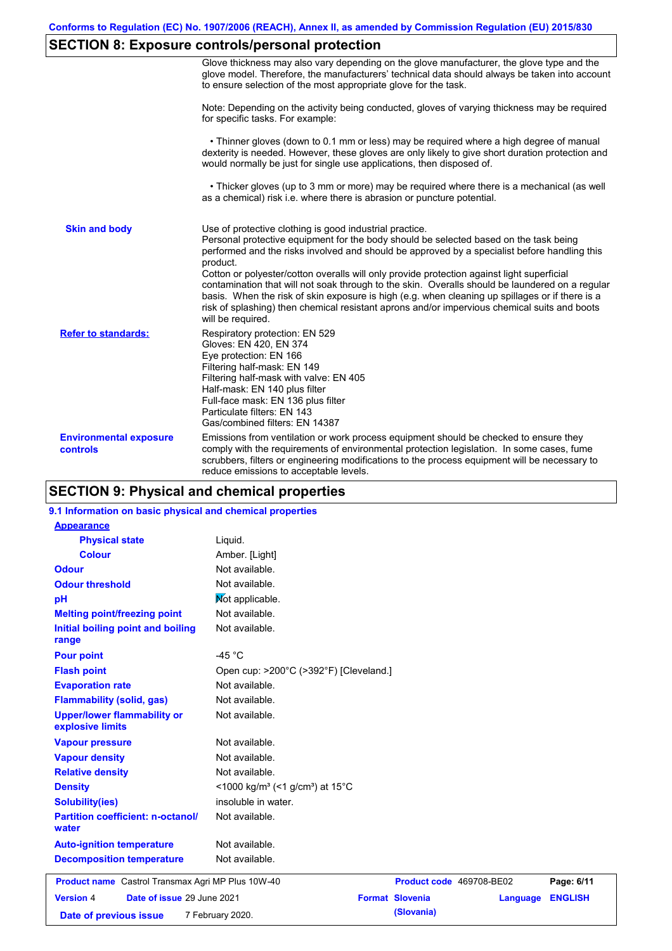# **SECTION 8: Exposure controls/personal protection**

|                                           | Glove thickness may also vary depending on the glove manufacturer, the glove type and the<br>glove model. Therefore, the manufacturers' technical data should always be taken into account<br>to ensure selection of the most appropriate glove for the task.                                                                                                                                                                                                                                                                                                                                                                                                                         |
|-------------------------------------------|---------------------------------------------------------------------------------------------------------------------------------------------------------------------------------------------------------------------------------------------------------------------------------------------------------------------------------------------------------------------------------------------------------------------------------------------------------------------------------------------------------------------------------------------------------------------------------------------------------------------------------------------------------------------------------------|
|                                           | Note: Depending on the activity being conducted, gloves of varying thickness may be required<br>for specific tasks. For example:                                                                                                                                                                                                                                                                                                                                                                                                                                                                                                                                                      |
|                                           | • Thinner gloves (down to 0.1 mm or less) may be required where a high degree of manual<br>dexterity is needed. However, these gloves are only likely to give short duration protection and<br>would normally be just for single use applications, then disposed of.                                                                                                                                                                                                                                                                                                                                                                                                                  |
|                                           | • Thicker gloves (up to 3 mm or more) may be required where there is a mechanical (as well<br>as a chemical) risk i.e. where there is abrasion or puncture potential.                                                                                                                                                                                                                                                                                                                                                                                                                                                                                                                 |
| <b>Skin and body</b>                      | Use of protective clothing is good industrial practice.<br>Personal protective equipment for the body should be selected based on the task being<br>performed and the risks involved and should be approved by a specialist before handling this<br>product.<br>Cotton or polyester/cotton overalls will only provide protection against light superficial<br>contamination that will not soak through to the skin. Overalls should be laundered on a regular<br>basis. When the risk of skin exposure is high (e.g. when cleaning up spillages or if there is a<br>risk of splashing) then chemical resistant aprons and/or impervious chemical suits and boots<br>will be required. |
| <b>Refer to standards:</b>                | Respiratory protection: EN 529<br>Gloves: EN 420, EN 374<br>Eye protection: EN 166<br>Filtering half-mask: EN 149<br>Filtering half-mask with valve: EN 405<br>Half-mask: EN 140 plus filter<br>Full-face mask: EN 136 plus filter<br>Particulate filters: EN 143<br>Gas/combined filters: EN 14387                                                                                                                                                                                                                                                                                                                                                                                   |
| <b>Environmental exposure</b><br>controls | Emissions from ventilation or work process equipment should be checked to ensure they<br>comply with the requirements of environmental protection legislation. In some cases, fume<br>scrubbers, filters or engineering modifications to the process equipment will be necessary to<br>reduce emissions to acceptable levels.                                                                                                                                                                                                                                                                                                                                                         |

# **SECTION 9: Physical and chemical properties**

### **9.1 Information on basic physical and chemical properties**

| <b>Appearance</b>                                        |                                                         |                          |          |                |
|----------------------------------------------------------|---------------------------------------------------------|--------------------------|----------|----------------|
| <b>Physical state</b>                                    | Liquid.                                                 |                          |          |                |
| <b>Colour</b>                                            | Amber. [Light]                                          |                          |          |                |
| <b>Odour</b>                                             | Not available.                                          |                          |          |                |
| <b>Odour threshold</b>                                   | Not available.                                          |                          |          |                |
| pH                                                       | Not applicable.                                         |                          |          |                |
| <b>Melting point/freezing point</b>                      | Not available.                                          |                          |          |                |
| Initial boiling point and boiling<br>range               | Not available.                                          |                          |          |                |
| <b>Pour point</b>                                        | -45 $^{\circ}$ C                                        |                          |          |                |
| <b>Flash point</b>                                       | Open cup: >200°C (>392°F) [Cleveland.]                  |                          |          |                |
| <b>Evaporation rate</b>                                  | Not available.                                          |                          |          |                |
| <b>Flammability (solid, gas)</b>                         | Not available.                                          |                          |          |                |
| <b>Upper/lower flammability or</b><br>explosive limits   | Not available.                                          |                          |          |                |
| <b>Vapour pressure</b>                                   | Not available.                                          |                          |          |                |
| <b>Vapour density</b>                                    | Not available.                                          |                          |          |                |
| <b>Relative density</b>                                  | Not available.                                          |                          |          |                |
| <b>Density</b>                                           | <1000 kg/m <sup>3</sup> (<1 g/cm <sup>3</sup> ) at 15°C |                          |          |                |
| <b>Solubility(ies)</b>                                   | insoluble in water.                                     |                          |          |                |
| <b>Partition coefficient: n-octanol/</b><br>water        | Not available.                                          |                          |          |                |
| <b>Auto-ignition temperature</b>                         | Not available.                                          |                          |          |                |
| <b>Decomposition temperature</b>                         | Not available.                                          |                          |          |                |
| <b>Product name</b> Castrol Transmax Agri MP Plus 10W-40 |                                                         | Product code 469708-BE02 |          | Page: 6/11     |
| <b>Version 4</b><br>Date of issue 29 June 2021           |                                                         | <b>Format Slovenia</b>   | Language | <b>ENGLISH</b> |
| Date of previous issue                                   | 7 February 2020.                                        | (Slovania)               |          |                |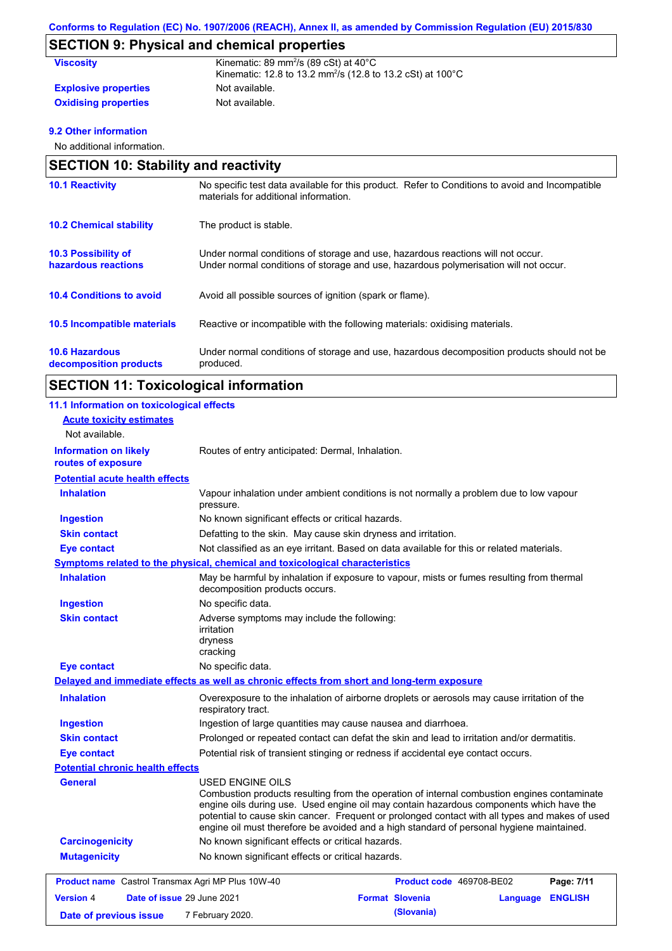# **SECTION 9: Physical and chemical properties**

| <b>Viscosity</b>            | Kinematic: 89 mm <sup>2</sup> /s (89 cSt) at $40^{\circ}$ C<br>Kinematic: 12.8 to 13.2 mm <sup>2</sup> /s (12.8 to 13.2 cSt) at 100°C |
|-----------------------------|---------------------------------------------------------------------------------------------------------------------------------------|
| <b>Explosive properties</b> | Not available.                                                                                                                        |
| <b>Oxidising properties</b> | Not available.                                                                                                                        |

### **9.2 Other information**

No additional information.

| <b>SECTION 10: Stability and reactivity</b>       |                                                                                                                                                                         |  |
|---------------------------------------------------|-------------------------------------------------------------------------------------------------------------------------------------------------------------------------|--|
| <b>10.1 Reactivity</b>                            | No specific test data available for this product. Refer to Conditions to avoid and Incompatible<br>materials for additional information.                                |  |
| <b>10.2 Chemical stability</b>                    | The product is stable.                                                                                                                                                  |  |
| <b>10.3 Possibility of</b><br>hazardous reactions | Under normal conditions of storage and use, hazardous reactions will not occur.<br>Under normal conditions of storage and use, hazardous polymerisation will not occur. |  |
| <b>10.4 Conditions to avoid</b>                   | Avoid all possible sources of ignition (spark or flame).                                                                                                                |  |
| 10.5 Incompatible materials                       | Reactive or incompatible with the following materials: oxidising materials.                                                                                             |  |
| <b>10.6 Hazardous</b><br>decomposition products   | Under normal conditions of storage and use, hazardous decomposition products should not be<br>produced.                                                                 |  |

# **SECTION 11: Toxicological information**

| 11.1 Information on toxicological effects          |                                                                                                                                                                                                                                                                                                                                                                                                          |
|----------------------------------------------------|----------------------------------------------------------------------------------------------------------------------------------------------------------------------------------------------------------------------------------------------------------------------------------------------------------------------------------------------------------------------------------------------------------|
| <b>Acute toxicity estimates</b>                    |                                                                                                                                                                                                                                                                                                                                                                                                          |
| Not available.                                     |                                                                                                                                                                                                                                                                                                                                                                                                          |
| <b>Information on likely</b><br>routes of exposure | Routes of entry anticipated: Dermal, Inhalation.                                                                                                                                                                                                                                                                                                                                                         |
| <b>Potential acute health effects</b>              |                                                                                                                                                                                                                                                                                                                                                                                                          |
| <b>Inhalation</b>                                  | Vapour inhalation under ambient conditions is not normally a problem due to low vapour<br>pressure.                                                                                                                                                                                                                                                                                                      |
| <b>Ingestion</b>                                   | No known significant effects or critical hazards.                                                                                                                                                                                                                                                                                                                                                        |
| <b>Skin contact</b>                                | Defatting to the skin. May cause skin dryness and irritation.                                                                                                                                                                                                                                                                                                                                            |
| <b>Eye contact</b>                                 | Not classified as an eye irritant. Based on data available for this or related materials.                                                                                                                                                                                                                                                                                                                |
|                                                    | Symptoms related to the physical, chemical and toxicological characteristics                                                                                                                                                                                                                                                                                                                             |
| <b>Inhalation</b>                                  | May be harmful by inhalation if exposure to vapour, mists or fumes resulting from thermal<br>decomposition products occurs.                                                                                                                                                                                                                                                                              |
| <b>Ingestion</b>                                   | No specific data.                                                                                                                                                                                                                                                                                                                                                                                        |
| <b>Skin contact</b>                                | Adverse symptoms may include the following:<br>irritation<br>dryness<br>cracking                                                                                                                                                                                                                                                                                                                         |
| <b>Eye contact</b>                                 | No specific data.                                                                                                                                                                                                                                                                                                                                                                                        |
|                                                    | Delayed and immediate effects as well as chronic effects from short and long-term exposure                                                                                                                                                                                                                                                                                                               |
| <b>Inhalation</b>                                  | Overexposure to the inhalation of airborne droplets or aerosols may cause irritation of the<br>respiratory tract.                                                                                                                                                                                                                                                                                        |
| <b>Ingestion</b>                                   | Ingestion of large quantities may cause nausea and diarrhoea.                                                                                                                                                                                                                                                                                                                                            |
| <b>Skin contact</b>                                | Prolonged or repeated contact can defat the skin and lead to irritation and/or dermatitis.                                                                                                                                                                                                                                                                                                               |
| <b>Eye contact</b>                                 | Potential risk of transient stinging or redness if accidental eye contact occurs.                                                                                                                                                                                                                                                                                                                        |
| <b>Potential chronic health effects</b>            |                                                                                                                                                                                                                                                                                                                                                                                                          |
| <b>General</b>                                     | USED ENGINE OILS<br>Combustion products resulting from the operation of internal combustion engines contaminate<br>engine oils during use. Used engine oil may contain hazardous components which have the<br>potential to cause skin cancer. Frequent or prolonged contact with all types and makes of used<br>engine oil must therefore be avoided and a high standard of personal hygiene maintained. |
| <b>Carcinogenicity</b>                             | No known significant effects or critical hazards.                                                                                                                                                                                                                                                                                                                                                        |
| <b>Mutagenicity</b>                                | No known significant effects or critical hazards.                                                                                                                                                                                                                                                                                                                                                        |
| Product name Castrol Transmax Agri MP Plus 10W-40  | Product code 469708-BE02<br>Page: 7/11                                                                                                                                                                                                                                                                                                                                                                   |
| <b>Version 4</b><br>Date of issue 29 June 2021     | <b>Format Slovenia</b><br>Language ENGLISH                                                                                                                                                                                                                                                                                                                                                               |
| Date of previous issue                             | (Slovania)<br>7 February 2020.                                                                                                                                                                                                                                                                                                                                                                           |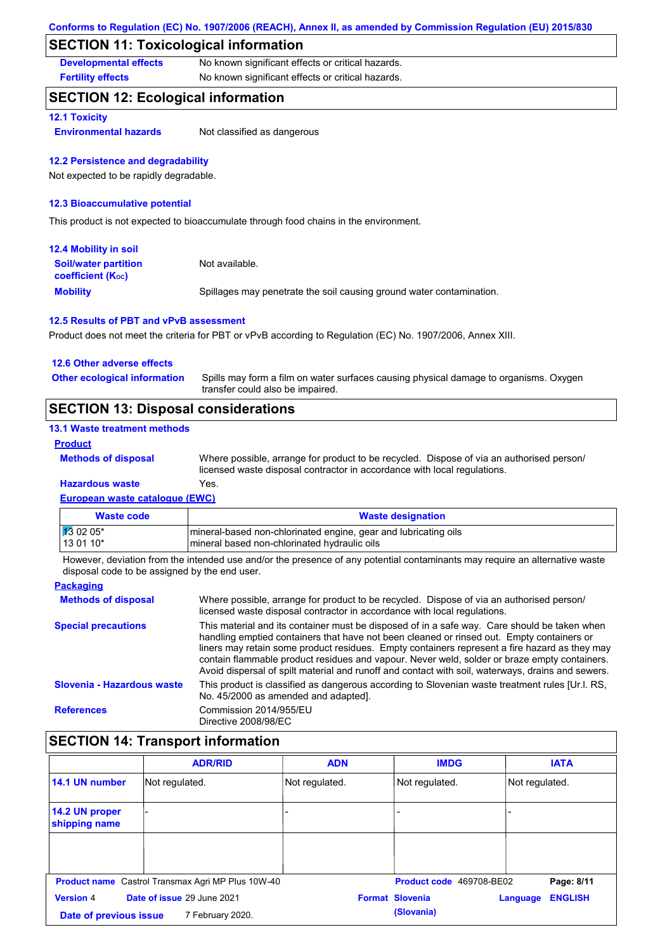## **SECTION 11: Toxicological information**

**Developmental effects** No known significant effects or critical hazards.

**Fertility effects** No known significant effects or critical hazards.

## **SECTION 12: Ecological information**

### **12.1 Toxicity**

**Environmental hazards** Not classified as dangerous

#### **12.2 Persistence and degradability**

Not expected to be rapidly degradable.

### **12.3 Bioaccumulative potential**

This product is not expected to bioaccumulate through food chains in the environment.

| <b>12.4 Mobility in soil</b>                                  |                                                                      |
|---------------------------------------------------------------|----------------------------------------------------------------------|
| <b>Soil/water partition</b><br>coefficient (K <sub>oc</sub> ) | Not available.                                                       |
| <b>Mobility</b>                                               | Spillages may penetrate the soil causing ground water contamination. |

### **12.5 Results of PBT and vPvB assessment**

Product does not meet the criteria for PBT or vPvB according to Regulation (EC) No. 1907/2006, Annex XIII.

| <b>SECTION 13: Disposal considerations</b> |                                                                                                                           |
|--------------------------------------------|---------------------------------------------------------------------------------------------------------------------------|
| <b>Other ecological information</b>        | Spills may form a film on water surfaces causing physical damage to organisms. Oxygen<br>transfer could also be impaired. |
| 12.6 Other adverse effects                 |                                                                                                                           |

#### **13.1 Waste treatment methods**

#### **Product**

**Methods of disposal**

Where possible, arrange for product to be recycled. Dispose of via an authorised person/ licensed waste disposal contractor in accordance with local regulations.

### **European waste catalogue (EWC) Hazardous waste** Yes.

| Waste code           | <b>Waste designation</b>                                        |
|----------------------|-----------------------------------------------------------------|
| $\frac{1}{3}$ 02 05* | mineral-based non-chlorinated engine, gear and lubricating oils |
| 13 01 10*            | mineral based non-chlorinated hydraulic oils                    |

However, deviation from the intended use and/or the presence of any potential contaminants may require an alternative waste disposal code to be assigned by the end user.

| <b>Packaging</b>           |                                                                                                                                                                                                                                                                                                                                                                                                                                                                                                 |
|----------------------------|-------------------------------------------------------------------------------------------------------------------------------------------------------------------------------------------------------------------------------------------------------------------------------------------------------------------------------------------------------------------------------------------------------------------------------------------------------------------------------------------------|
| <b>Methods of disposal</b> | Where possible, arrange for product to be recycled. Dispose of via an authorised person/<br>licensed waste disposal contractor in accordance with local regulations.                                                                                                                                                                                                                                                                                                                            |
| <b>Special precautions</b> | This material and its container must be disposed of in a safe way. Care should be taken when<br>handling emptied containers that have not been cleaned or rinsed out. Empty containers or<br>liners may retain some product residues. Empty containers represent a fire hazard as they may<br>contain flammable product residues and vapour. Never weld, solder or braze empty containers.<br>Avoid dispersal of spilt material and runoff and contact with soil, waterways, drains and sewers. |
| Slovenia - Hazardous waste | This product is classified as dangerous according to Slovenian waste treatment rules [Ur.l. RS.<br>No. 45/2000 as amended and adapted].                                                                                                                                                                                                                                                                                                                                                         |
| <b>References</b>          | Commission 2014/955/EU<br>Directive 2008/98/EC                                                                                                                                                                                                                                                                                                                                                                                                                                                  |

# **SECTION 14: Transport information**

|                                                | <b>ADR/RID</b>                                           | <b>ADN</b>     | <b>IMDG</b>              | <b>IATA</b>                |
|------------------------------------------------|----------------------------------------------------------|----------------|--------------------------|----------------------------|
| 14.1 UN number                                 | Not regulated.                                           | Not regulated. | Not regulated.           | Not regulated.             |
| 14.2 UN proper<br>shipping name                |                                                          |                |                          |                            |
|                                                |                                                          |                |                          |                            |
|                                                |                                                          |                |                          |                            |
|                                                | <b>Product name</b> Castrol Transmax Agri MP Plus 10W-40 |                | Product code 469708-BE02 | Page: 8/11                 |
| Date of issue 29 June 2021<br><b>Version 4</b> |                                                          |                | <b>Format Slovenia</b>   | <b>ENGLISH</b><br>Language |
| Date of previous issue<br>7 February 2020.     |                                                          |                | (Slovania)               |                            |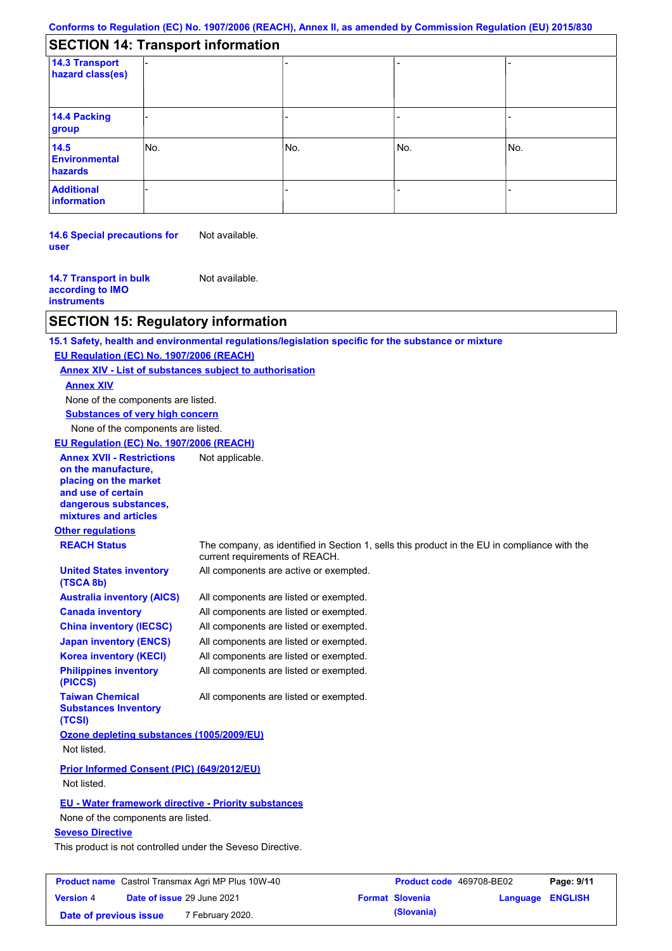| <b>SECTION 14: Transport information</b> |  |
|------------------------------------------|--|
|------------------------------------------|--|

| <u>ULUITUITI TILIIUPUILIIIUIIIIKIUI</u> |     |     |     |     |
|-----------------------------------------|-----|-----|-----|-----|
| 14.3 Transport<br>hazard class(es)      |     |     |     |     |
| 14.4 Packing<br>group                   |     |     |     |     |
| 14.5<br>Environmental<br>hazards        | No. | No. | No. | No. |
| <b>Additional</b><br>information        |     |     |     |     |

**14.6 Special precautions for user** Not available.

**14.7 Transport in bulk according to IMO instruments** Not available.

### **SECTION 15: Regulatory information**

**Other regulations REACH Status** The company, as identified in Section 1, sells this product in the EU in compliance with the current requirements of REACH. **15.1 Safety, health and environmental regulations/legislation specific for the substance or mixture EU Regulation (EC) No. 1907/2006 (REACH) Annex XIV - List of substances subject to authorisation Substances of very high concern** None of the components are listed. All components are listed or exempted. All components are listed or exempted. All components are listed or exempted. All components are listed or exempted. All components are active or exempted. All components are listed or exempted. All components are listed or exempted. **United States inventory (TSCA 8b) Australia inventory (AICS) Canada inventory China inventory (IECSC) Japan inventory (ENCS) Korea inventory (KECI) Philippines inventory (PICCS) Taiwan Chemical Substances Inventory (TCSI)** All components are listed or exempted. **Ozone depleting substances (1005/2009/EU)** Not listed. **Prior Informed Consent (PIC) (649/2012/EU)** Not listed. **Seveso Directive** This product is not controlled under the Seveso Directive. None of the components are listed. **Annex XIV EU - Water framework directive - Priority substances** None of the components are listed. **EU Regulation (EC) No. 1907/2006 (REACH) Annex XVII - Restrictions on the manufacture, placing on the market and use of certain dangerous substances, mixtures and articles** Not applicable.

| <b>Product name</b> Castrol Transmax Agri MP Plus 10W-40 |  |                            | Product code 469708-BE02 |                        | Page: 9/11              |  |
|----------------------------------------------------------|--|----------------------------|--------------------------|------------------------|-------------------------|--|
| <b>Version 4</b>                                         |  | Date of issue 29 June 2021 |                          | <b>Format Slovenia</b> | <b>Language ENGLISH</b> |  |
| Date of previous issue                                   |  | 7 February 2020.           |                          | (Slovania)             |                         |  |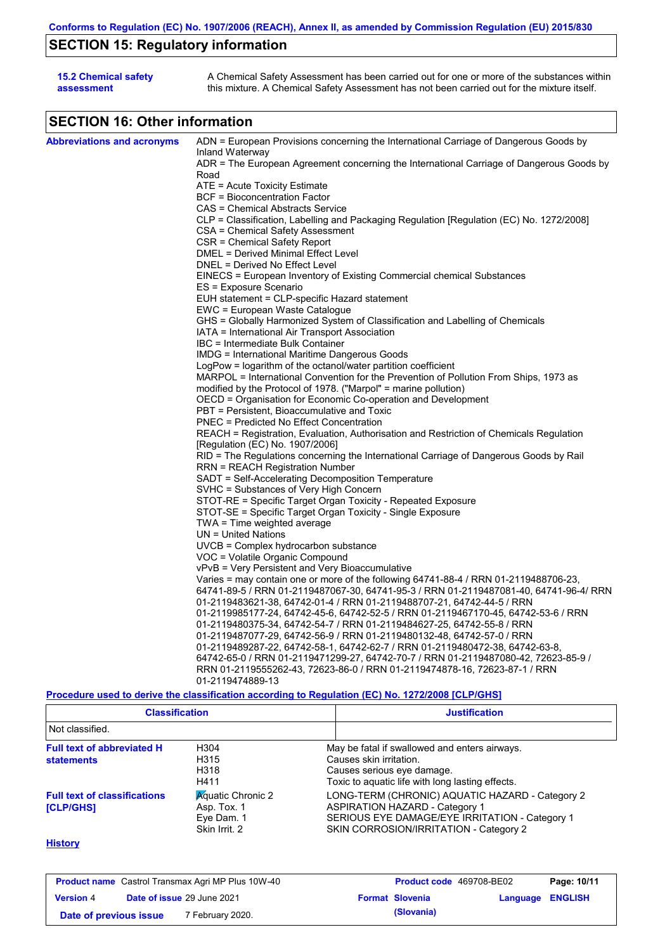# **SECTION 15: Regulatory information**

| <b>15.2 Chemical safety</b> | A Chemical Safety Assessment has been carried out for one or more of the substances within  |
|-----------------------------|---------------------------------------------------------------------------------------------|
| assessment                  | this mixture. A Chemical Safety Assessment has not been carried out for the mixture itself. |

# **SECTION 16: Other information**

| <b>Abbreviations and acronyms</b> | ADN = European Provisions concerning the International Carriage of Dangerous Goods by            |
|-----------------------------------|--------------------------------------------------------------------------------------------------|
|                                   | Inland Waterway                                                                                  |
|                                   | ADR = The European Agreement concerning the International Carriage of Dangerous Goods by         |
|                                   | Road                                                                                             |
|                                   | ATE = Acute Toxicity Estimate                                                                    |
|                                   | <b>BCF</b> = Bioconcentration Factor                                                             |
|                                   | CAS = Chemical Abstracts Service                                                                 |
|                                   | CLP = Classification, Labelling and Packaging Regulation [Regulation (EC) No. 1272/2008]         |
|                                   | CSA = Chemical Safety Assessment                                                                 |
|                                   | CSR = Chemical Safety Report                                                                     |
|                                   | DMEL = Derived Minimal Effect Level                                                              |
|                                   | DNEL = Derived No Effect Level                                                                   |
|                                   | EINECS = European Inventory of Existing Commercial chemical Substances                           |
|                                   | ES = Exposure Scenario                                                                           |
|                                   | EUH statement = CLP-specific Hazard statement                                                    |
|                                   | EWC = European Waste Catalogue                                                                   |
|                                   | GHS = Globally Harmonized System of Classification and Labelling of Chemicals                    |
|                                   | IATA = International Air Transport Association                                                   |
|                                   | IBC = Intermediate Bulk Container                                                                |
|                                   | IMDG = International Maritime Dangerous Goods                                                    |
|                                   | LogPow = logarithm of the octanol/water partition coefficient                                    |
|                                   | MARPOL = International Convention for the Prevention of Pollution From Ships, 1973 as            |
|                                   | modified by the Protocol of 1978. ("Marpol" = marine pollution)                                  |
|                                   | OECD = Organisation for Economic Co-operation and Development                                    |
|                                   | PBT = Persistent, Bioaccumulative and Toxic                                                      |
|                                   | <b>PNEC = Predicted No Effect Concentration</b>                                                  |
|                                   | REACH = Registration, Evaluation, Authorisation and Restriction of Chemicals Regulation          |
|                                   | [Regulation (EC) No. 1907/2006]                                                                  |
|                                   | RID = The Regulations concerning the International Carriage of Dangerous Goods by Rail           |
|                                   | <b>RRN = REACH Registration Number</b>                                                           |
|                                   | SADT = Self-Accelerating Decomposition Temperature                                               |
|                                   | SVHC = Substances of Very High Concern                                                           |
|                                   | STOT-RE = Specific Target Organ Toxicity - Repeated Exposure                                     |
|                                   | STOT-SE = Specific Target Organ Toxicity - Single Exposure                                       |
|                                   | TWA = Time weighted average                                                                      |
|                                   | $UN = United Nations$                                                                            |
|                                   | $UVCB = Complex\;hydrocarbon\; substance$                                                        |
|                                   | VOC = Volatile Organic Compound                                                                  |
|                                   | vPvB = Very Persistent and Very Bioaccumulative                                                  |
|                                   | Varies = may contain one or more of the following $64741-88-4$ / RRN 01-2119488706-23,           |
|                                   | 64741-89-5 / RRN 01-2119487067-30, 64741-95-3 / RRN 01-2119487081-40, 64741-96-4/ RRN            |
|                                   | 01-2119483621-38, 64742-01-4 / RRN 01-2119488707-21, 64742-44-5 / RRN                            |
|                                   | 01-2119985177-24, 64742-45-6, 64742-52-5 / RRN 01-2119467170-45, 64742-53-6 / RRN                |
|                                   | 01-2119480375-34, 64742-54-7 / RRN 01-2119484627-25, 64742-55-8 / RRN                            |
|                                   | 01-2119487077-29, 64742-56-9 / RRN 01-2119480132-48, 64742-57-0 / RRN                            |
|                                   | 01-2119489287-22, 64742-58-1, 64742-62-7 / RRN 01-2119480472-38, 64742-63-8,                     |
|                                   | 64742-65-0 / RRN 01-2119471299-27, 64742-70-7 / RRN 01-2119487080-42, 72623-85-9 /               |
|                                   | RRN 01-2119555262-43, 72623-86-0 / RRN 01-2119474878-16, 72623-87-1 / RRN                        |
|                                   | 01-2119474889-13                                                                                 |
|                                   | Procedure used to derive the classification according to Regulation (EC) No. 1272/2008 [CLP/GHS] |

| <b>Classification</b>                                                                                     |                                                                        | <b>Justification</b>                                                                                                                                                                 |
|-----------------------------------------------------------------------------------------------------------|------------------------------------------------------------------------|--------------------------------------------------------------------------------------------------------------------------------------------------------------------------------------|
| Not classified.<br><b>Full text of abbreviated H</b><br>H304<br>H315<br><b>statements</b><br>H318<br>H411 |                                                                        |                                                                                                                                                                                      |
|                                                                                                           |                                                                        | May be fatal if swallowed and enters airways.<br>Causes skin irritation.<br>Causes serious eye damage.<br>Toxic to aguatic life with long lasting effects.                           |
| <b>Full text of classifications</b><br><b>[CLP/GHS]</b>                                                   | <b>Aguatic Chronic 2</b><br>Asp. Tox. 1<br>Eye Dam. 1<br>Skin Irrit. 2 | LONG-TERM (CHRONIC) AQUATIC HAZARD - Category 2<br><b>ASPIRATION HAZARD - Category 1</b><br>SERIOUS EYE DAMAGE/EYE IRRITATION - Category 1<br>SKIN CORROSION/IRRITATION - Category 2 |

### **History**

| <b>Product name</b> Castrol Transmax Agri MP Plus 10W-40 |                                   |                  | <b>Product code</b> 469708-BE02 | Page: 10/11            |                         |  |
|----------------------------------------------------------|-----------------------------------|------------------|---------------------------------|------------------------|-------------------------|--|
| <b>Version 4</b>                                         | <b>Date of issue 29 June 2021</b> |                  |                                 | <b>Format Slovenia</b> | <b>Language ENGLISH</b> |  |
| Date of previous issue                                   |                                   | 7 February 2020. |                                 | (Slovania)             |                         |  |